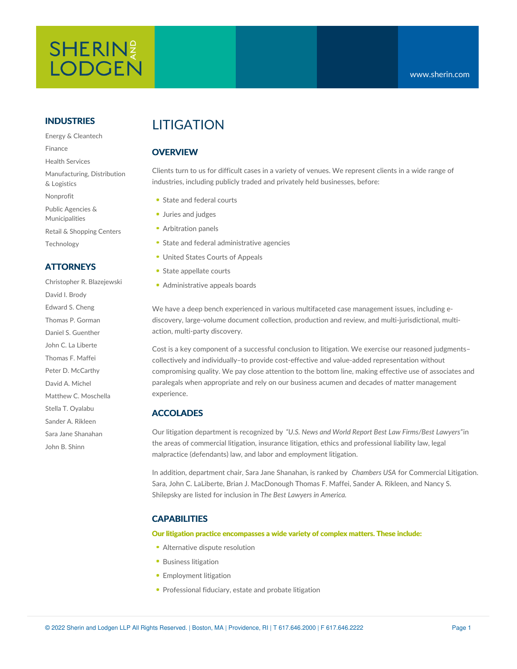# **SHERIN LODGEN**

#### **INDUSTRIES**

Energy & Cleantech Finance Health Services Manufacturing, Distribution & Logistics Nonprofit Public Agencies & Municipalities Retail & Shopping Centers Technology

#### **ATTORNEYS**

Christopher R. Blazejewski David I. Brody Edward S. Cheng Thomas P. Gorman Daniel S. Guenther John C. La Liberte Thomas F. Maffei Peter D. McCarthy David A. Michel Matthew C. Moschella Stella T. Oyalabu Sander A. Rikleen Sara Jane Shanahan John B. Shinn

## **LITIGATION**

### **OVERVIEW**

Clients turn to us for difficult cases in a variety of venues. We represent clients in a wide range of industries, including publicly traded and privately held businesses, before:

- State and federal courts
- **Juries and judges**
- Arbitration panels
- **State and federal administrative agencies**
- United States Courts of Appeals
- State appellate courts
- Administrative appeals boards

We have a deep bench experienced in various multifaceted case management issues, including ediscovery, large-volume document collection, production and review, and multi-jurisdictional, multiaction, multi-party discovery.

Cost is a key component of a successful conclusion to litigation. We exercise our reasoned judgments– collectively and individually–to provide cost-effective and value-added representation without compromising quality. We pay close attention to the bottom line, making effective use of associates and paralegals when appropriate and rely on our business acumen and decades of matter management experience.

#### **ACCOLADES**

Our litigation department is recognized by *"U.S. News and World Report Best Law Firms/Best Lawyers"*in the areas of commercial litigation, insurance litigation, ethics and professional liability law, legal malpractice (defendants) law, and labor and employment litigation.

In addition, department chair, Sara Jane Shanahan, is ranked by *Chambers USA* for Commercial Litigation. Sara, John C. LaLiberte, Brian J. MacDonough Thomas F. Maffei, Sander A. Rikleen, and Nancy S. Shilepsky are listed for inclusion in *The Best Lawyers in America.*

#### **CAPABILITIES**

#### **Our litigation practice encompasses a wide variety of complex matters. These include:**

- [Alternative](https://www.sherin.com/practice-areas/litigation/alternative-dispute-resolution/) dispute resolution
- **[Business](https://www.sherin.com/practice-areas/litigation/business-litigation/) litigation**
- **[Employment](https://www.sherin.com/practice-areas/litigation/employment-litigation/) litigation**
- **[Professional](https://www.sherin.com/practice-areas/litigation/professional-fiduciary-estate-and-probate-litigation/) fiduciary, estate and probate litigation**